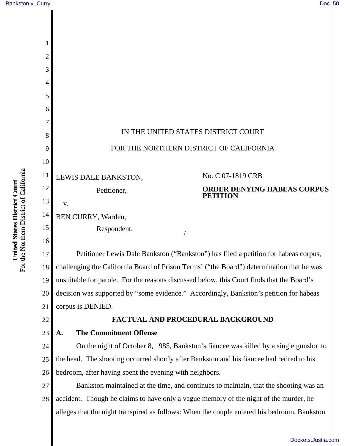| $\overline{2}$ |                                                                                             |
|----------------|---------------------------------------------------------------------------------------------|
| 3              |                                                                                             |
| 4              |                                                                                             |
| 5              |                                                                                             |
| 6              |                                                                                             |
| 7              |                                                                                             |
| 8              | IN THE UNITED STATES DISTRICT COURT                                                         |
| 9              | FOR THE NORTHERN DISTRICT OF CALIFORNIA                                                     |
| 10             |                                                                                             |
| 11             | No. C 07-1819 CRB<br>LEWIS DALE BANKSTON,                                                   |
| 12             | <b>ORDER DENYING HABEAS CORPUS</b><br>Petitioner,<br><b>PETITION</b>                        |
| 13             | V.                                                                                          |
| 14             | BEN CURRY, Warden,                                                                          |
| 15             | Respondent.                                                                                 |
| 16             |                                                                                             |
| 17             | Petitioner Lewis Dale Bankston ("Bankston") has filed a petition for habeas corpus,         |
| 18             | challenging the California Board of Prison Terms' ("the Board") determination that he was   |
| 19             | unsuitable for parole. For the reasons discussed below, this Court finds that the Board's   |
| 20             | decision was supported by "some evidence." Accordingly, Bankston's petition for habeas      |
| 21             | corpus is DENIED.                                                                           |
| 22             | FACTUAL AND PROCEDURAL BACKGROUND                                                           |
| 23             | <b>The Commitment Offense</b><br>A.                                                         |
| 24             | On the night of October 8, 1985, Bankston's fiancee was killed by a single gunshot to       |
| 25             | the head. The shooting occurred shortly after Bankston and his fiancee had retired to his   |
| 26             | bedroom, after having spent the evening with neighbors.                                     |
| 27             | Bankston maintained at the time, and continues to maintain, that the shooting was an        |
| 28             | accident. Though he claims to have only a vague memory of the night of the murder, he       |
|                | alleges that the night transpired as follows: When the couple entered his bedroom, Bankston |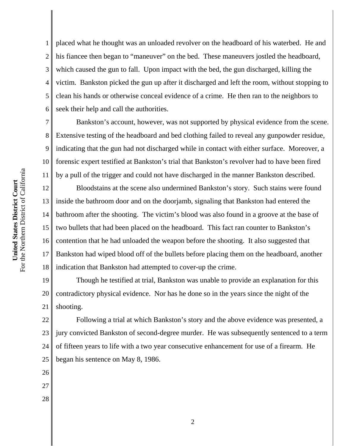7 8 9 10 For the Northern District of California For the Northern District of California 11 United States District Court **United States District Court** 12 13 14 15 16

1

2

3

4

5

6

placed what he thought was an unloaded revolver on the headboard of his waterbed. He and his fiancee then began to "maneuver" on the bed. These maneuvers jostled the headboard, which caused the gun to fall. Upon impact with the bed, the gun discharged, killing the victim. Bankston picked the gun up after it discharged and left the room, without stopping to clean his hands or otherwise conceal evidence of a crime. He then ran to the neighbors to seek their help and call the authorities.

Bankston's account, however, was not supported by physical evidence from the scene. Extensive testing of the headboard and bed clothing failed to reveal any gunpowder residue, indicating that the gun had not discharged while in contact with either surface. Moreover, a forensic expert testified at Bankston's trial that Bankston's revolver had to have been fired by a pull of the trigger and could not have discharged in the manner Bankston described.

17 18 Bloodstains at the scene also undermined Bankston's story. Such stains were found inside the bathroom door and on the doorjamb, signaling that Bankston had entered the bathroom after the shooting. The victim's blood was also found in a groove at the base of two bullets that had been placed on the headboard. This fact ran counter to Bankston's contention that he had unloaded the weapon before the shooting. It also suggested that Bankston had wiped blood off of the bullets before placing them on the headboard, another indication that Bankston had attempted to cover-up the crime.

19 20 21 Though he testified at trial, Bankston was unable to provide an explanation for this contradictory physical evidence. Nor has he done so in the years since the night of the shooting.

22 23 24 25 Following a trial at which Bankston's story and the above evidence was presented, a jury convicted Bankston of second-degree murder. He was subsequently sentenced to a term of fifteen years to life with a two year consecutive enhancement for use of a firearm. He began his sentence on May 8, 1986.

- 26 27
- 28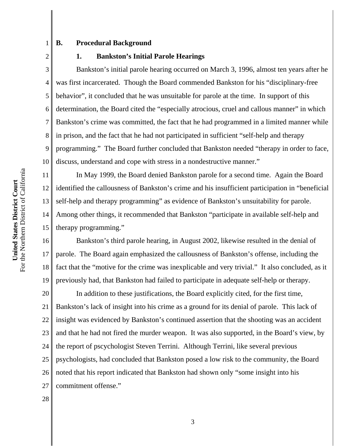**B. Procedural Background**

1

2

5

7

11

12

13

14

15

**1. Bankston's Initial Parole Hearings**

3 4 6 8 9 10 Bankston's initial parole hearing occurred on March 3, 1996, almost ten years after he was first incarcerated. Though the Board commended Bankston for his "disciplinary-free behavior", it concluded that he was unsuitable for parole at the time. In support of this determination, the Board cited the "especially atrocious, cruel and callous manner" in which Bankston's crime was committed, the fact that he had programmed in a limited manner while in prison, and the fact that he had not participated in sufficient "self-help and therapy programming." The Board further concluded that Bankston needed "therapy in order to face, discuss, understand and cope with stress in a nondestructive manner."

In May 1999, the Board denied Bankston parole for a second time. Again the Board identified the callousness of Bankston's crime and his insufficient participation in "beneficial self-help and therapy programming" as evidence of Bankston's unsuitability for parole. Among other things, it recommended that Bankston "participate in available self-help and therapy programming."

16 17 18 19 Bankston's third parole hearing, in August 2002, likewise resulted in the denial of parole. The Board again emphasized the callousness of Bankston's offense, including the fact that the "motive for the crime was inexplicable and very trivial." It also concluded, as it previously had, that Bankston had failed to participate in adequate self-help or therapy.

20 21 22 23 24 25 26 27 In addition to these justifications, the Board explicitly cited, for the first time, Bankston's lack of insight into his crime as a ground for its denial of parole. This lack of insight was evidenced by Bankston's continued assertion that the shooting was an accident and that he had not fired the murder weapon. It was also supported, in the Board's view, by the report of pscychologist Steven Terrini. Although Terrini, like several previous psychologists, had concluded that Bankston posed a low risk to the community, the Board noted that his report indicated that Bankston had shown only "some insight into his commitment offense."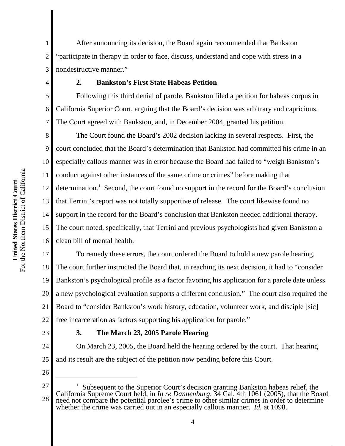After announcing its decision, the Board again recommended that Bankston "participate in therapy in order to face, discuss, understand and cope with stress in a nondestructive manner."

### **2. Bankston's First State Habeas Petition**

Following this third denial of parole, Bankston filed a petition for habeas corpus in California Superior Court, arguing that the Board's decision was arbitrary and capricious. The Court agreed with Bankston, and, in December 2004, granted his petition.

8 9 10 11 12 13 14 15 16 The Court found the Board's 2002 decision lacking in several respects. First, the court concluded that the Board's determination that Bankston had committed his crime in an especially callous manner was in error because the Board had failed to "weigh Bankston's conduct against other instances of the same crime or crimes" before making that determination.<sup>1</sup> Second, the court found no support in the record for the Board's conclusion that Terrini's report was not totally supportive of release. The court likewise found no support in the record for the Board's conclusion that Bankston needed additional therapy. The court noted, specifically, that Terrini and previous psychologists had given Bankston a clean bill of mental health.

17 18 19 20 21 22 To remedy these errors, the court ordered the Board to hold a new parole hearing. The court further instructed the Board that, in reaching its next decision, it had to "consider Bankston's psychological profile as a factor favoring his application for a parole date unless a new psychological evaluation supports a different conclusion." The court also required the Board to "consider Bankston's work history, education, volunteer work, and disciple [sic] free incarceration as factors supporting his application for parole."

23

1

2

3

4

5

6

7

## **3. The March 23, 2005 Parole Hearing**

24 25 On March 23, 2005, the Board held the hearing ordered by the court. That hearing and its result are the subject of the petition now pending before this Court.

<sup>27</sup> 28 <sup>1</sup> Subsequent to the Superior Court's decision granting Bankston habeas relief, the California Supreme Court held, in *In re Dannenburg*, 34 Cal. 4th 1061 (2005), that the Board need not compare the potential parolee's crime to other similar crimes in order to determine whether the crime was carried out in an especially callous manner. *Id.* at 1098.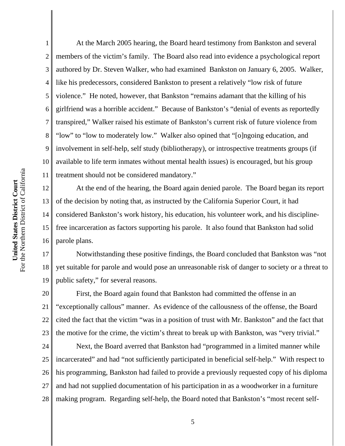1 2 3 4 At the March 2005 hearing, the Board heard testimony from Bankston and several members of the victim's family. The Board also read into evidence a psychological report authored by Dr. Steven Walker, who had examined Bankston on January 6, 2005. Walker, like his predecessors, considered Bankston to present a relatively "low risk of future violence." He noted, however, that Bankston "remains adamant that the killing of his girlfriend was a horrible accident." Because of Bankston's "denial of events as reportedly transpired," Walker raised his estimate of Bankston's current risk of future violence from "low" to "low to moderately low." Walker also opined that "[o]ngoing education, and involvement in self-help, self study (bibliotherapy), or introspective treatments groups (if available to life term inmates without mental health issues) is encouraged, but his group treatment should not be considered mandatory."

At the end of the hearing, the Board again denied parole. The Board began its report of the decision by noting that, as instructed by the California Superior Court, it had considered Bankston's work history, his education, his volunteer work, and his disciplinefree incarceration as factors supporting his parole. It also found that Bankston had solid parole plans.

18 19 Notwithstanding these positive findings, the Board concluded that Bankston was "not yet suitable for parole and would pose an unreasonable risk of danger to society or a threat to public safety," for several reasons.

20 21 22 23 First, the Board again found that Bankston had committed the offense in an "exceptionally callous" manner. As evidence of the callousness of the offense, the Board cited the fact that the victim "was in a position of trust with Mr. Bankston" and the fact that the motive for the crime, the victim's threat to break up with Bankston, was "very trivial."

24 25 26 27 28 Next, the Board averred that Bankston had "programmed in a limited manner while incarcerated" and had "not sufficiently participated in beneficial self-help." With respect to his programming, Bankston had failed to provide a previously requested copy of his diploma and had not supplied documentation of his participation in as a woodworker in a furniture making program. Regarding self-help, the Board noted that Bankston's "most recent self-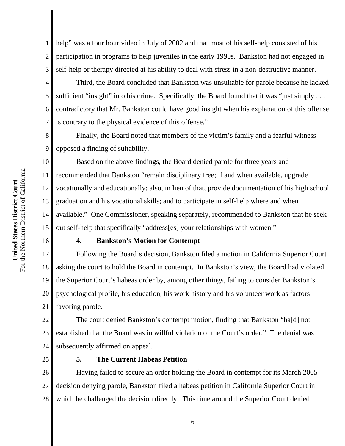1 2 3 help" was a four hour video in July of 2002 and that most of his self-help consisted of his participation in programs to help juveniles in the early 1990s. Bankston had not engaged in self-help or therapy directed at his ability to deal with stress in a non-destructive manner.

Third, the Board concluded that Bankston was unsuitable for parole because he lacked sufficient "insight" into his crime. Specifically, the Board found that it was "just simply ... contradictory that Mr. Bankston could have good insight when his explanation of this offense is contrary to the physical evidence of this offense."

Finally, the Board noted that members of the victim's family and a fearful witness opposed a finding of suitability.

10 11 12 13 14 15 Based on the above findings, the Board denied parole for three years and recommended that Bankston "remain disciplinary free; if and when available, upgrade vocationally and educationally; also, in lieu of that, provide documentation of his high school graduation and his vocational skills; and to participate in self-help where and when available." One Commissioner, speaking separately, recommended to Bankston that he seek out self-help that specifically "address[es] your relationships with women."

# 16

4

5

6

7

8

9

# **4. Bankston's Motion for Contempt**

17 18 19 20 21 Following the Board's decision, Bankston filed a motion in California Superior Court asking the court to hold the Board in contempt. In Bankston's view, the Board had violated the Superior Court's habeas order by, among other things, failing to consider Bankston's psychological profile, his education, his work history and his volunteer work as factors favoring parole.

22 23 24 The court denied Bankston's contempt motion, finding that Bankston "ha[d] not established that the Board was in willful violation of the Court's order." The denial was subsequently affirmed on appeal.

25

# **5. The Current Habeas Petition**

26 27 28 Having failed to secure an order holding the Board in contempt for its March 2005 decision denying parole, Bankston filed a habeas petition in California Superior Court in which he challenged the decision directly. This time around the Superior Court denied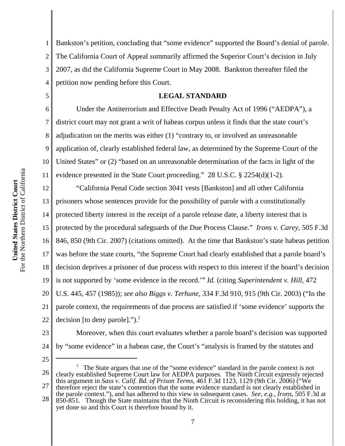1 2 3 4 Bankston's petition, concluding that "some evidence" supported the Board's denial of parole. The California Court of Appeal summarily affirmed the Superior Court's decision in July 2007, as did the California Supreme Court in May 2008. Bankston thereafter filed the petition now pending before this Court.

## **LEGAL STANDARD**

Under the Antiterrorism and Effective Death Penalty Act of 1996 ("AEDPA"), a district court may not grant a writ of habeas corpus unless it finds that the state court's adjudication on the merits was either (1) "contrary to, or involved an unreasonable application of, clearly established federal law, as determined by the Supreme Court of the United States" or (2) "based on an unreasonable determination of the facts in light of the evidence presented in the State Court proceeding." 28 U.S.C. § 2254(d)(1-2).

12 13 14 15 16 17 18 19 20 21 22 "California Penal Code section 3041 vests [Bankston] and all other California prisoners whose sentences provide for the possibility of parole with a constitutionally protected liberty interest in the receipt of a parole release date, a liberty interest that is protected by the procedural safeguards of the Due Process Clause." *Irons v. Carey*, 505 F.3d 846, 850 (9th Cir. 2007) (citations omitted). At the time that Bankston's state habeas petition was before the state courts, "the Supreme Court had clearly established that a parole board's decision deprives a prisoner of due process with respect to this interest if the board's decision is not supported by 'some evidence in the record.'" *Id.* (citing *Superintendent v. Hill*, 472 U.S. 445, 457 (1985)); *see also Biggs v. Terhune*, 334 F.3d 910, 915 (9th Cir. 2003) ("In the parole context, the requirements of due process are satisfied if 'some evidence' supports the decision [to deny parole]." $)^2$ .

23

5

6

7

8

9

10

11

- 24 25
- 26 27 <sup>2</sup> The State argues that use of the "some evidence" standard in the parole context is not clearly established Supreme Court law for AEDPA purposes. The Ninth Circuit expressly rejected this argument in *Sass v. Calif. Bd. of Prison Terms*, 461 F.3d 1123, 1129 (9th Cir. 2006) ("We therefore reject the state's contention that the some evidence standard is not clearly established in

by "some evidence" in a habeas case, the Court's "analysis is framed by the statutes and

28 the parole context."), and has adhered to this view in subsequent cases. *See, e.g., Irons*, 505 F.3d at 850-851. Though the State maintains that the Ninth Circuit is reconsidering this holding, it has not yet done so and this Court is therefore bound by it.

Moreover, when this court evaluates whether a parole board's decision was supported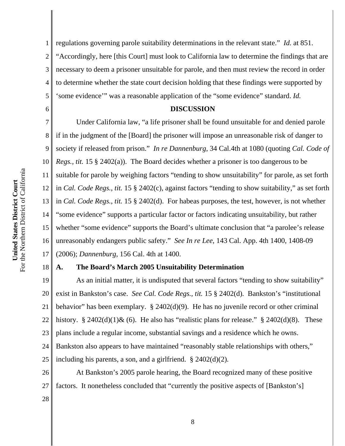6

1 2 3 4 5 regulations governing parole suitability determinations in the relevant state." *Id.* at 851. "Accordingly, here [this Court] must look to California law to determine the findings that are necessary to deem a prisoner unsuitable for parole, and then must review the record in order to determine whether the state court decision holding that these findings were supported by 'some evidence'" was a reasonable application of the "some evidence" standard. *Id.*

#### **DISCUSSION**

7 8 9 10 11 12 13 14 15 16 17 Under California law, "a life prisoner shall be found unsuitable for and denied parole if in the judgment of the [Board] the prisoner will impose an unreasonable risk of danger to society if released from prison." *In re Dannenburg*, 34 Cal.4th at 1080 (quoting *Cal. Code of Regs., tit.* 15 § 2402(a)). The Board decides whether a prisoner is too dangerous to be suitable for parole by weighing factors "tending to show unsuitability" for parole, as set forth in *Cal. Code Regs., tit.* 15 § 2402(c), against factors "tending to show suitability," as set forth in *Cal. Code Regs., tit.* 15 § 2402(d). For habeas purposes, the test, however, is not whether "some evidence" supports a particular factor or factors indicating unsuitability, but rather whether "some evidence" supports the Board's ultimate conclusion that "a parolee's release unreasonably endangers public safety." *See In re Lee*, 143 Cal. App. 4th 1400, 1408-09 (2006); *Dannenburg*, 156 Cal. 4th at 1400.

### **A. The Board's March 2005 Unsuitability Determination**

19 20 21 22 23 24 25 As an initial matter, it is undisputed that several factors "tending to show suitability" exist in Bankston's case. *See Cal. Code Regs., tit.* 15 § 2402(d)*.* Bankston's "institutional behavior" has been exemplary. § 2402(d)(9). He has no juvenile record or other criminal history. § 2402(d)(1)& (6). He also has "realistic plans for release." § 2402(d)(8). These plans include a regular income, substantial savings and a residence which he owns. Bankston also appears to have maintained "reasonably stable relationships with others," including his parents, a son, and a girlfriend.  $\S 2402(d)(2)$ .

26 27 At Bankston's 2005 parole hearing, the Board recognized many of these positive factors. It nonetheless concluded that "currently the positive aspects of [Bankston's]

28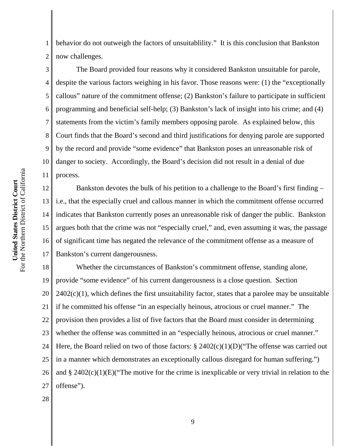1 2 behavior do not outweigh the factors of unsuitablility." It is this conclusion that Bankston now challenges.

3 4 5 6 7 8 9 10 11 The Board provided four reasons why it considered Bankston unsuitable for parole, despite the various factors weighing in his favor. Those reasons were: (1) the "exceptionally callous" nature of the commitment offense; (2) Bankston's failure to participate in sufficient programming and beneficial self-help; (3) Bankston's lack of insight into his crime; and (4) statements from the victim's family members opposing parole. As explained below, this Court finds that the Board's second and third justifications for denying parole are supported by the record and provide "some evidence" that Bankston poses an unreasonable risk of danger to society. Accordingly, the Board's decision did not result in a denial of due process.

12 13 14 15 16 17 Bankston devotes the bulk of his petition to a challenge to the Board's first finding – i.e., that the especially cruel and callous manner in which the commitment offense occurred indicates that Bankston currently poses an unreasonable risk of danger the public. Bankston argues both that the crime was not "especially cruel," and, even assuming it was, the passage of significant time has negated the relevance of the commitment offense as a measure of Bankston's current dangerousness.

18 19 20 21 22 23 24 25 26 27 Whether the circumstances of Bankston's commitment offense, standing alone, provide "some evidence" of his current dangerousness is a close question. Section  $2402(c)(1)$ , which defines the first unsuitability factor, states that a parolee may be unsuitable if he committed his offense "in an especially heinous, atrocious or cruel manner." The provision then provides a list of five factors that the Board must consider in determining whether the offense was committed in an "especially heinous, atrocious or cruel manner." Here, the Board relied on two of those factors:  $\S 2402(c)(1)(D)$  ("The offense was carried out in a manner which demonstrates an exceptionally callous disregard for human suffering.") and  $\S 2402(c)(1)(E)$  The motive for the crime is inexplicable or very trivial in relation to the offense").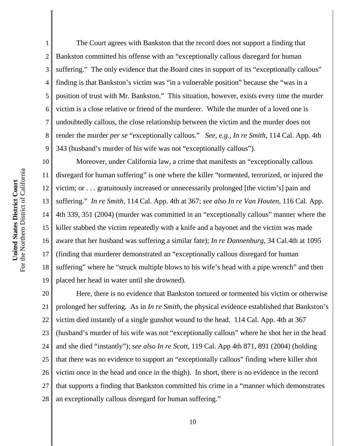6 7 8 9 10 For the Northern District of California For the Northern District of California 11 United States District Court **United States District Court** 12 13 14 15 16

1 2 3 4 5 The Court agrees with Bankston that the record does not support a finding that Bankston committed his offense with an "exceptionally callous disregard for human suffering." The only evidence that the Board cites in support of its "exceptionally callous" finding is that Bankston's victim was "in a vulnerable position" because she "was in a position of trust with Mr. Bankston." This situation, however, exists every time the murder victim is a close relative or friend of the murderer. While the murder of a loved one is undoubtedly callous, the close relationship between the victim and the murder does not render the murder *per se* "exceptionally callous." *See, e.g., In re Smith*, 114 Cal. App. 4th 343 (husband's murder of his wife was not "exceptionally callous").

17 18 19 Moreover, under California law, a crime that manifests an "exceptionally callous disregard for human suffering" is one where the killer "tormented, terrorized, or injured the victim; or . . . gratuitously increased or unnecessarily prolonged [the victim's] pain and suffering." *In re Smith*, 114 Cal. App. 4th at 367; *see also In re Van Houten*, 116 Cal. App. 4th 339, 351 (2004) (murder was committed in an "exceptionally callous" manner where the killer stabbed the victim repeatedly with a knife and a bayonet and the victim was made aware that her husband was suffering a similar fate); *In re Dannenburg*, 34 Cal.4th at 1095 (finding that murderer demonstrated an "exceptionally callous disregard for human suffering" where he "struck multiple blows to his wife's head with a pipe wrench" and then placed her head in water until she drowned).

20 21 22 23 24 25 26 27 28 Here, there is no evidence that Bankston tortured or tormented his victim or otherwise prolonged her suffering. As in *In re Smith*, the physical evidence established that Bankston's victim died instantly of a single gunshot wound to the head. 114 Cal. App. 4th at 367 (husband's murder of his wife was not "exceptionally callous" where he shot her in the head and she died "instantly"); *see also In re Scott*, 119 Cal. App 4th 871, 891 (2004) (holding that there was no evidence to support an "exceptionally callous" finding where killer shot victim once in the head and once in the thigh). In short, there is no evidence in the record that supports a finding that Bankston committed his crime in a "manner which demonstrates an exceptionally callous disregard for human suffering."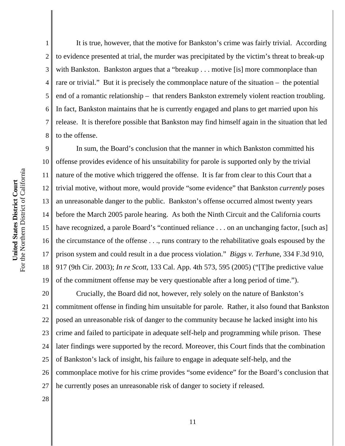4 6 8 It is true, however, that the motive for Bankston's crime was fairly trivial. According to evidence presented at trial, the murder was precipitated by the victim's threat to break-up with Bankston. Bankston argues that a "breakup . . . motive [is] more commonplace than rare or trivial." But it is precisely the commonplace nature of the situation – the potential end of a romantic relationship – that renders Bankston extremely violent reaction troubling. In fact, Bankston maintains that he is currently engaged and plans to get married upon his release. It is therefore possible that Bankston may find himself again in the situation that led to the offense.

9 10 11 12 13 14 15 16 17 18 19 In sum, the Board's conclusion that the manner in which Bankston committed his offense provides evidence of his unsuitability for parole is supported only by the trivial nature of the motive which triggered the offense. It is far from clear to this Court that a trivial motive, without more, would provide "some evidence" that Bankston *currently* poses an unreasonable danger to the public. Bankston's offense occurred almost twenty years before the March 2005 parole hearing. As both the Ninth Circuit and the California courts have recognized, a parole Board's "continued reliance . . . on an unchanging factor, [such as] the circumstance of the offense . . ., runs contrary to the rehabilitative goals espoused by the prison system and could result in a due process violation." *Biggs v. Terhu*ne, 334 F.3d 910, 917 (9th Cir. 2003); *In re Scott*, 133 Cal. App. 4th 573, 595 (2005) ("[T]he predictive value of the commitment offense may be very questionable after a long period of time.").

20 21 22 23 24 25 26 27 Crucially, the Board did not, however, rely solely on the nature of Bankston's commitment offense in finding him unsuitable for parole. Rather, it also found that Bankston posed an unreasonable risk of danger to the community because he lacked insight into his crime and failed to participate in adequate self-help and programming while prison. These later findings were supported by the record. Moreover, this Court finds that the combination of Bankston's lack of insight, his failure to engage in adequate self-help, and the commonplace motive for his crime provides "some evidence" for the Board's conclusion that he currently poses an unreasonable risk of danger to society if released.

For the Northern District of California For the Northern District of California United States District Court **United States District Court**

1

2

3

5

7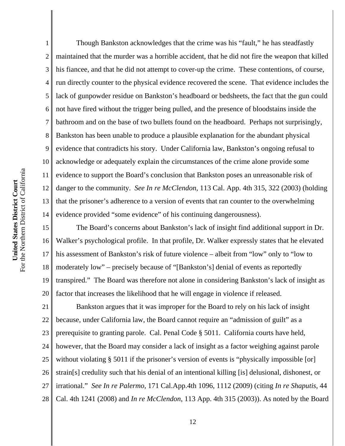1 2 3 4 5 6 7 8 9 10 11 12 13 14 Though Bankston acknowledges that the crime was his "fault," he has steadfastly maintained that the murder was a horrible accident, that he did not fire the weapon that killed his fiancee, and that he did not attempt to cover-up the crime. These contentions, of course, run directly counter to the physical evidence recovered the scene. That evidence includes the lack of gunpowder residue on Bankston's headboard or bedsheets, the fact that the gun could not have fired without the trigger being pulled, and the presence of bloodstains inside the bathroom and on the base of two bullets found on the headboard. Perhaps not surprisingly, Bankston has been unable to produce a plausible explanation for the abundant physical evidence that contradicts his story. Under California law, Bankston's ongoing refusal to acknowledge or adequately explain the circumstances of the crime alone provide some evidence to support the Board's conclusion that Bankston poses an unreasonable risk of danger to the community. *See In re McClendon*, 113 Cal. App. 4th 315, 322 (2003) (holding that the prisoner's adherence to a version of events that ran counter to the overwhelming evidence provided "some evidence" of his continuing dangerousness).

15 16 17 18 19 20 The Board's concerns about Bankston's lack of insight find additional support in Dr. Walker's psychological profile. In that profile, Dr. Walker expressly states that he elevated his assessment of Bankston's risk of future violence – albeit from "low" only to "low to moderately low" – precisely because of "[Bankston's] denial of events as reportedly transpired." The Board was therefore not alone in considering Bankston's lack of insight as factor that increases the likelihood that he will engage in violence if released.

21 22 23 24 25 26 27 28 Bankston argues that it was improper for the Board to rely on his lack of insight because, under California law, the Board cannot require an "admission of guilt" as a prerequisite to granting parole. Cal. Penal Code § 5011. California courts have held, however, that the Board may consider a lack of insight as a factor weighing against parole without violating § 5011 if the prisoner's version of events is "physically impossible [or] strain[s] credulity such that his denial of an intentional killing [is] delusional, dishonest, or irrational." *See In re Palermo*, 171 Cal.App.4th 1096, 1112 (2009) (citing *In re Shaputis*, 44 Cal. 4th 1241 (2008) and *In re McClendon*, 113 App. 4th 315 (2003)). As noted by the Board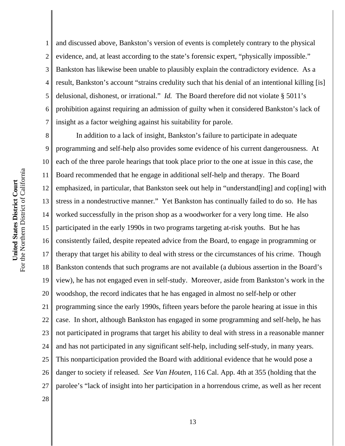1 2 3 4 5 6 7 and discussed above, Bankston's version of events is completely contrary to the physical evidence, and, at least according to the state's forensic expert, "physically impossible." Bankston has likewise been unable to plausibly explain the contradictory evidence. As a result, Bankston's account "strains credulity such that his denial of an intentional killing [is] delusional, dishonest, or irrational." *Id.* The Board therefore did not violate § 5011's prohibition against requiring an admission of guilty when it considered Bankston's lack of insight as a factor weighing against his suitability for parole.

8 9 10 11 12 13 14 15 16 17 18 19 20 21 22 23 24 25 26 27 28 In addition to a lack of insight, Bankston's failure to participate in adequate programming and self-help also provides some evidence of his current dangerousness. At each of the three parole hearings that took place prior to the one at issue in this case, the Board recommended that he engage in additional self-help and therapy. The Board emphasized, in particular, that Bankston seek out help in "understand[ing] and cop[ing] with stress in a nondestructive manner." Yet Bankston has continually failed to do so. He has worked successfully in the prison shop as a woodworker for a very long time. He also participated in the early 1990s in two programs targeting at-risk youths. But he has consistently failed, despite repeated advice from the Board, to engage in programming or therapy that target his ability to deal with stress or the circumstances of his crime. Though Bankston contends that such programs are not available (a dubious assertion in the Board's view), he has not engaged even in self-study. Moreover, aside from Bankston's work in the woodshop, the record indicates that he has engaged in almost no self-help or other programming since the early 1990s, fifteen years before the parole hearing at issue in this case. In short, although Bankston has engaged in some programming and self-help, he has not participated in programs that target his ability to deal with stress in a reasonable manner and has not participated in any significant self-help, including self-study, in many years. This nonparticipation provided the Board with additional evidence that he would pose a danger to society if released. *See Van Houten*, 116 Cal. App. 4th at 355 (holding that the parolee's "lack of insight into her participation in a horrendous crime, as well as her recent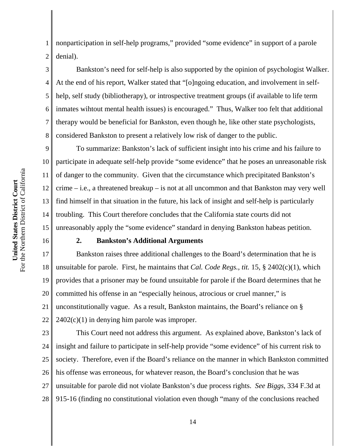1 2 nonparticipation in self-help programs," provided "some evidence" in support of a parole denial).

Bankston's need for self-help is also supported by the opinion of psychologist Walker. At the end of his report, Walker stated that "[o]ngoing education, and involvement in selfhelp, self study (bibliotherapy), or introspective treatment groups (if available to life term inmates wihtout mental health issues) is encouraged." Thus, Walker too felt that additional therapy would be beneficial for Bankston, even though he, like other state psychologists, considered Bankston to present a relatively low risk of danger to the public.

9 10 11 12 13 14 15 To summarize: Bankston's lack of sufficient insight into his crime and his failure to participate in adequate self-help provide "some evidence" that he poses an unreasonable risk of danger to the community. Given that the circumstance which precipitated Bankston's crime – i.e., a threatened breakup – is not at all uncommon and that Bankston may very well find himself in that situation in the future, his lack of insight and self-help is particularly troubling. This Court therefore concludes that the California state courts did not unreasonably apply the "some evidence" standard in denying Bankston habeas petition.

16

3

4

5

6

7

8

### **2. Bankston's Additional Arguments**

17 18 19 20 21 22 Bankston raises three additional challenges to the Board's determination that he is unsuitable for parole. First, he maintains that *Cal. Code Regs., tit.* 15, § 2402(c)(1), which provides that a prisoner may be found unsuitable for parole if the Board determines that he committed his offense in an "especially heinous, atrocious or cruel manner," is unconstitutionally vague. As a result, Bankston maintains, the Board's reliance on §  $2402(c)(1)$  in denying him parole was improper.

23 24 25 26 27 28 This Court need not address this argument. As explained above, Bankston's lack of insight and failure to participate in self-help provide "some evidence" of his current risk to society. Therefore, even if the Board's reliance on the manner in which Bankston committed his offense was erroneous, for whatever reason, the Board's conclusion that he was unsuitable for parole did not violate Bankston's due process rights. *See Biggs*, 334 F.3d at 915-16 (finding no constitutional violation even though "many of the conclusions reached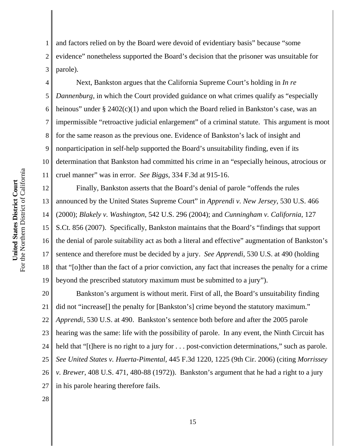1 2 3 and factors relied on by the Board were devoid of evidentiary basis" because "some evidence" nonetheless supported the Board's decision that the prisoner was unsuitable for parole).

4 5 6 7 8 9 10 11 Next, Bankston argues that the California Supreme Court's holding in *In re Dannenburg*, in which the Court provided guidance on what crimes qualify as "especially heinous" under § 2402(c)(1) and upon which the Board relied in Bankston's case, was an impermissible "retroactive judicial enlargement" of a criminal statute. This argument is moot for the same reason as the previous one. Evidence of Bankston's lack of insight and nonparticipation in self-help supported the Board's unsuitability finding, even if its determination that Bankston had committed his crime in an "especially heinous, atrocious or cruel manner" was in error. *See Biggs*, 334 F.3d at 915-16.

12 13 14 15 16 17 18 19 Finally, Bankston asserts that the Board's denial of parole "offends the rules announced by the United States Supreme Court" in *Apprendi v. New Jersey*, 530 U.S. 466 (2000); *Blakely v. Washington*, 542 U.S. 296 (2004); and *Cunningham v. California*, 127 S.Ct. 856 (2007). Specifically, Bankston maintains that the Board's "findings that support the denial of parole suitability act as both a literal and effective" augmentation of Bankston's sentence and therefore must be decided by a jury. *See Apprendi*, 530 U.S. at 490 (holding that "[o]ther than the fact of a prior conviction, any fact that increases the penalty for a crime beyond the prescribed statutory maximum must be submitted to a jury").

20 21 22 23 24 25 26 27 Bankston's argument is without merit. First of all, the Board's unsuitability finding did not "increase[] the penalty for [Bankston's] crime beyond the statutory maximum." *Apprendi*, 530 U.S. at 490. Bankston's sentence both before and after the 2005 parole hearing was the same: life with the possibility of parole. In any event, the Ninth Circuit has held that "[t]here is no right to a jury for . . . post-conviction determinations," such as parole. *See United States v. Huerta-Pimental*, 445 F.3d 1220, 1225 (9th Cir. 2006) (citing *Morrissey v. Brewer*, 408 U.S. 471, 480-88 (1972)). Bankston's argument that he had a right to a jury in his parole hearing therefore fails.